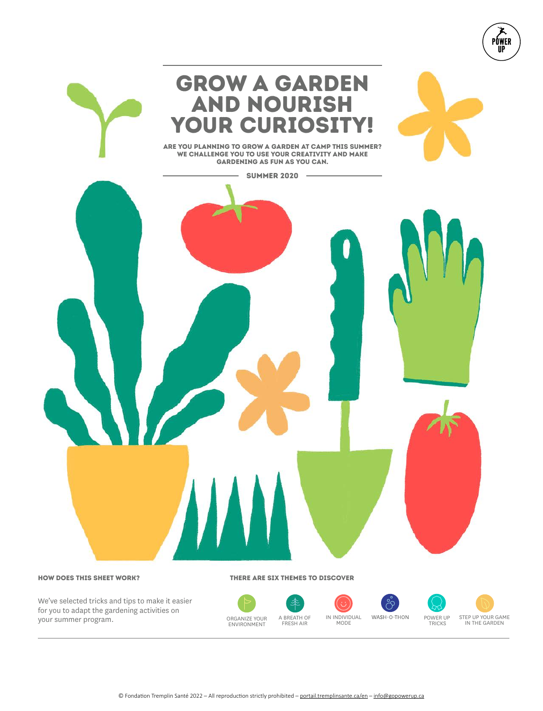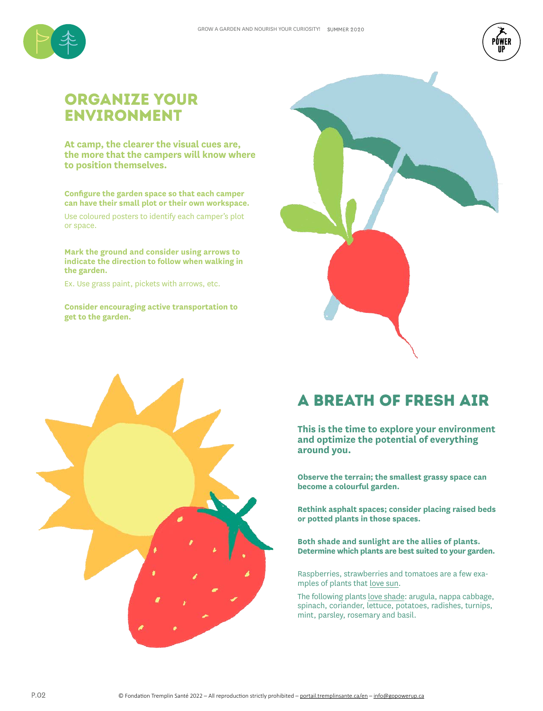



## Organize your environment

**At camp, the clearer the visual cues are, the more that the campers will know where to position themselves.**

**Configure the garden space so that each camper can have their small plot or their own workspace.** 

Use coloured posters to identify each camper's plot or space.

**Mark the ground and consider using arrows to indicate the direction to follow when walking in the garden.** 

Ex. Use grass paint, pickets with arrows, etc.

**Consider encouraging active transportation to get to the garden.** 





# a breath of fresh air

**This is the time to explore your environment and optimize the potential of everything around you.**

**Observe the terrain; the smallest grassy space can become a colourful garden.** 

**Rethink asphalt spaces; consider placing raised beds or potted plants in those spaces.**

**Both shade and sunlight are the allies of plants. Determine which plants are best suited to your garden.** 

Raspberries, strawberries and tomatoes are a few examples of plants that love sun.

The following plants love shade: arugula, nappa cabbage, spinach, coriander, lettuce, potatoes, radishes, turnips, mint, parsley, rosemary and basil.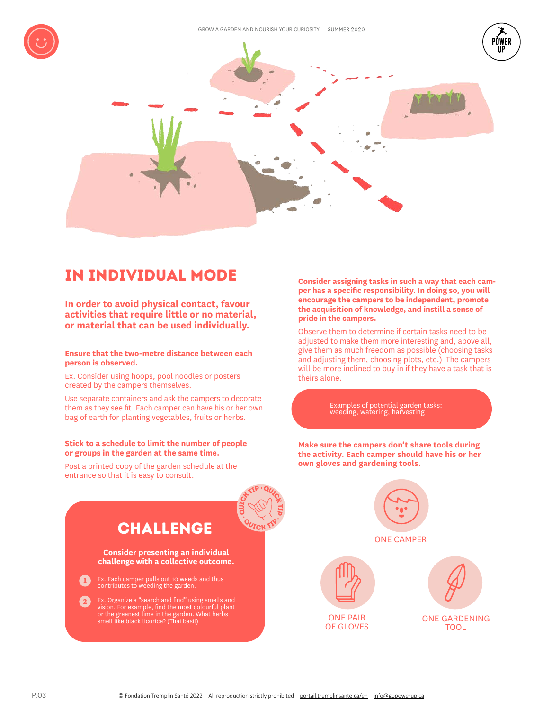





# IN INDIVIDUAL MODE

**In order to avoid physical contact, favour**  or material that can be used individually.

**Ensure that the two-metre distance between each person is observed.**

Ex. Consider using hoops, pool noodles or posters created by the campers themselves.

Use separate containers and ask the campers to decorate them as they see fit. Each camper can have his or her own bag of earth for planting vegetables, fruits or herbs.

### **Stick to a schedule to limit the number of people or groups in the garden at the same time.**

Post a printed copy of the garden schedule at the entrance so that it is easy to consult.

**Consider assigning tasks in such a way that each camper has a specific responsibility. In doing so, you will encourage the campers to be independent, promote the acquisition of knowledge, and instill a sense of pride in the campers.**

Observe them to determine if certain tasks need to be adjusted to make them more interesting and, above all, give them as much freedom as possible (choosing tasks and adjusting them, choosing plots, etc.) The campers will be more inclined to buy in if they have a task that is theirs alone.

Examples of potential garden tasks: weeding, watering, harvesting

**Make sure the campers don't share tools during the activity. Each camper should have his or her own gloves and gardening tools.**

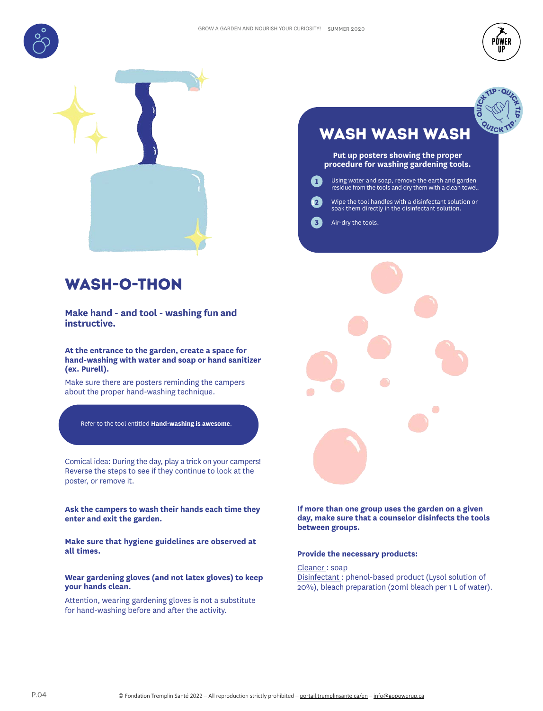



auter TIP

**CALTIP** 

**QUICK TIP** 



### wash-o-THON

**Make hand - and tool - washing fun and instructive.**

**At the entrance to the garden, create a space for hand-washing with water and soap or hand sanitizer (ex. Purell).** 

Make sure there are posters reminding the campers about the proper hand-washing technique.

Refer to the tool entitled **Hand-washing is awesome**.

Comical idea: During the day, play a trick on your campers! Reverse the steps to see if they continue to look at the poster, or remove it.

**Ask the campers to wash their hands each time they enter and exit the garden.**

**Make sure that hygiene guidelines are observed at all times.**

**Wear gardening gloves (and not latex gloves) to keep your hands clean.**

Attention, wearing gardening gloves is not a substitute for hand-washing before and after the activity.

# WASH WASH WASH

**Put up posters showing the proper procedure for washing gardening tools.**

- Using water and soap, remove the earth and garden residue from the tools and dry them with a clean towel. 1
	- Wipe the tool handles with a disinfectant solution or soak them directly in the disinfectant solution.
- Air-dry the tools. 3

1

2



### **If more than one group uses the garden on a given day, make sure that a counselor disinfects the tools between groups.**

### **Provide the necessary products:**

Cleaner : soap

Disinfectant : phenol-based product (Lysol solution of 20%), bleach preparation (20ml bleach per 1 L of water).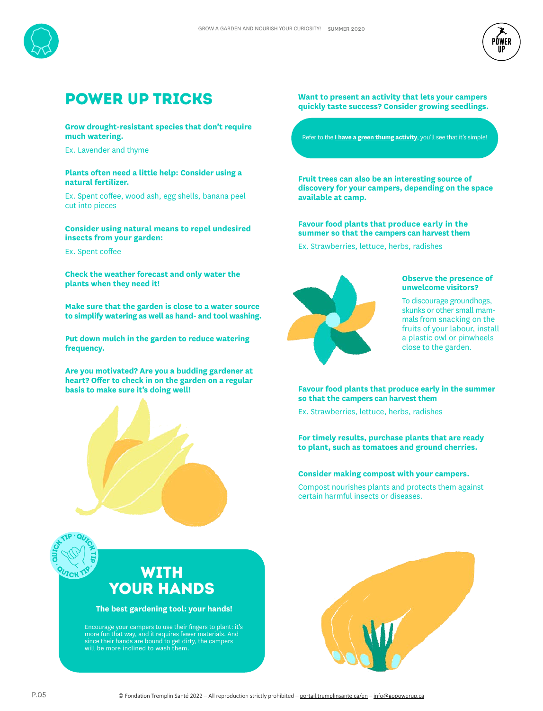



## POWER UP tricks

### **Grow drought-resistant species that don't require much watering.**

Ex. Lavender and thyme

### **Plants often need a little help: Consider using a natural fertilizer.**

Ex. Spent coffee, wood ash, egg shells, banana peel cut into pieces

### **Consider using natural means to repel undesired insects from your garden:**

Ex. Spent coffee

auton TIP

**CHIP** 

**QUICK TIP** 

**Check the weather forecast and only water the plants when they need it!** 

**Make sure that the garden is close to a water source to simplify watering as well as hand- and tool washing.** 

**Put down mulch in the garden to reduce watering frequency.** 

**Are you motivated? Are you a budding gardener at heart? Offer to check in on the garden on a regular basis to make sure it's doing well!**



**Want to present an activity that lets your campers quickly taste success? Consider growing seedlings.** 

Refer to the **I have a green thumg activity**, you'll see that it's simple!

**Fruit trees can also be an interesting source of discovery for your campers, depending on the space available at camp.** 

**Favour food plants that produce early in the summer so that the campers can harvest them** 

Ex. Strawberries, lettuce, herbs, radishes



#### **Observe the presence of unwelcome visitors?**

To discourage groundhogs, skunks or other small mammals from snacking on the fruits of your labour, install a plastic owl or pinwheels close to the garden.

### **Favour food plants that produce early in the summer so that the campers can harvest them**

Ex. Strawberries, lettuce, herbs, radishes

**For timely results, purchase plants that are ready to plant, such as tomatoes and ground cherries.**

### **Consider making compost with your campers.**

Compost nourishes plants and protects them against certain harmful insects or diseases.

## with YOUR HANDS

**The best gardening tool: your hands!**

Encourage your campers to use their fingers to plant: it's more fun that way, and it requires fewer materials. And since their hands are bound to get dirty, the campers will be more inclined to wash them.

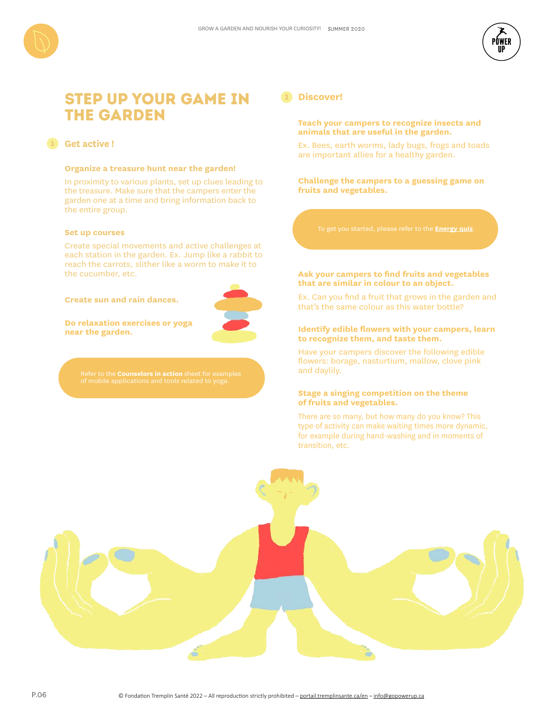

### step up your game in the garden

### **Get active !** 1

### **Organize a treasure hunt near the garden!**

In proximity to various plants, set up clues leading to the treasure. Make sure that the campers enter the garden one at a time and bring information back to the entire group.

#### **Set up courses**

Create special movements and active challenges at each station in the garden. Ex. Jump like a rabbit to reach the carrots, slither like a worm to make it to the cucumber, etc.

#### **Create sun and rain dances.**



**Do relaxation exercises or yoga near the garden.**

### <sup>2</sup> **Discover!**

### **Teach your campers to recognize insects and animals that are useful in the garden.**

Ex. Bees, earth worms, lady bugs, frogs and toads are important allies for a healthy garden.

**Challenge the campers to a guessing game on fruits and vegetables.**

To get you started, please refer to the **Energy quiz**.

### **Ask your campers to find fruits and vegetables that are similar in colour to an object.**

Ex. Can you find a fruit that grows in the garden and that's the same colour as this water bottle?

### **Identify edible flowers with your campers, learn to recognize them, and taste them.**

Have your campers discover the following edible flowers: borage, nasturtium, mallow, clove pink and daylily.

### **Stage a singing competition on the theme of fruits and vegetables.**

There are so many, but how many do you know? This type of activity can make waiting times more dynamic, for example during hand-washing and in moments of transition, etc.